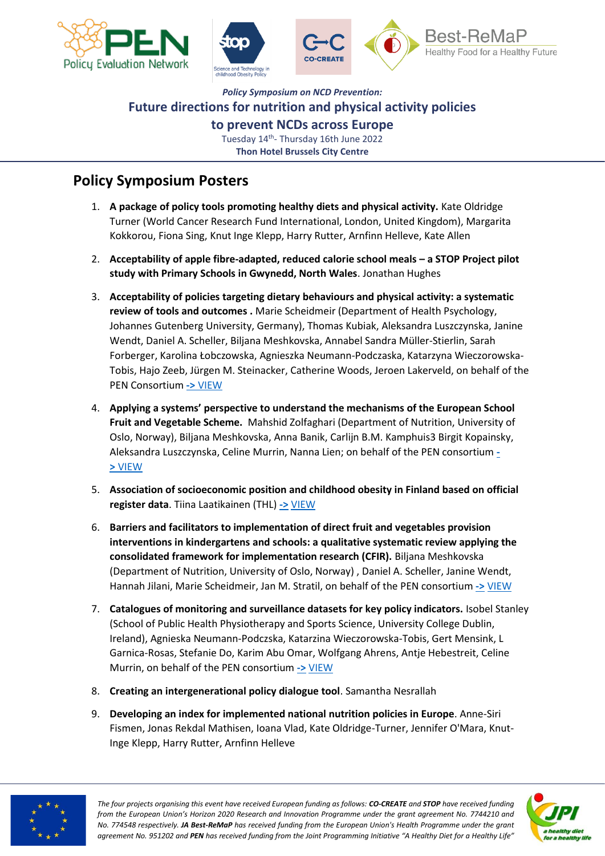



## *Policy Symposium on NCD Prevention:* **Future directions for nutrition and physical activity policies to prevent NCDs across Europe**

Tuesday 14<sup>th</sup>- Thursday 16th June 2022 **Thon Hotel Brussels City Centre**

## **Policy Symposium Posters**

- 1. **A package of policy tools promoting healthy diets and physical activity.** Kate Oldridge Turner (World Cancer Research Fund International, London, United Kingdom), Margarita Kokkorou, Fiona Sing, Knut Inge Klepp, Harry Rutter, Arnfinn Helleve, Kate Allen
- 2. **Acceptability of apple fibre-adapted, reduced calorie school meals – a STOP Project pilot study with Primary Schools in Gwynedd, North Wales**. Jonathan Hughes
- 3. **Acceptability of policies targeting dietary behaviours and physical activity: a systematic review of tools and outcomes .** Marie Scheidmeir (Department of Health Psychology, Johannes Gutenberg University, Germany), Thomas Kubiak, Aleksandra Luszczynska, Janine Wendt, Daniel A. Scheller, Biljana Meshkovska, Annabel Sandra Müller-Stierlin, Sarah Forberger, Karolina Łobczowska, Agnieszka Neumann-Podczaska, Katarzyna Wieczorowska-Tobis, Hajo Zeeb, Jürgen M. Steinacker, Catherine Woods, Jeroen Lakerveld, on behalf of the PEN Consortium **->** [VIEW](https://www.jpi-pen.eu/images/reports/Scheidmeier_PosterPENSymposium.pdf)
- 4. **Applying a systems' perspective to understand the mechanisms of the European School Fruit and Vegetable Scheme.** Mahshid Zolfaghari (Department of Nutrition, University of Oslo, Norway), Biljana Meshkovska, Anna Banik, Carlijn B.M. Kamphuis3 Birgit Kopainsky, Aleksandra Luszczynska, Celine Murrin, Nanna Lien; on behalf of the PEN consortium **[-](https://www.jpi-pen.eu/images/reports/Zolfaghari_PEN_EU_scheme.pdf) >** [VIEW](https://www.jpi-pen.eu/images/reports/Zolfaghari_PEN_EU_scheme.pdf)
- 5. **Association of socioeconomic position and childhood obesity in Finland based on official register data**. Tiina Laatikainen (THL) **[->](https://www.jpi-pen.eu/images/reports/Zolfaghari_PEN_EU_scheme.pdf)** [VIEW](https://www.jpi-pen.eu/images/reports/Paalanen_STOP_SES_ChildhoodObesityInFinland.pdf)
- 6. **Barriers and facilitators to implementation of direct fruit and vegetables provision interventions in kindergartens and schools: a qualitative systematic review applying the consolidated framework for implementation research (CFIR).** Biljana Meshkovska (Department of Nutrition, University of Oslo, Norway) , Daniel A. Scheller, Janine Wendt, Hannah Jilani, Marie Scheidmeir, Jan M. Stratil, on behalf of the PEN consortium [->](https://www.jpi-pen.eu/images/reports/Zolfaghari_PEN_EU_scheme.pdf) [VIEW](https://www.jpi-pen.eu/images/reports/Meshkovska_PEN_CFIR.pdf)
- 7. **Catalogues of monitoring and surveillance datasets for key policy indicators.** Isobel Stanley (School of Public Health Physiotherapy and Sports Science, University College Dublin, Ireland), Agnieska Neumann-Podczska, Katarzina Wieczorowska-Tobis, Gert Mensink, L Garnica-Rosas, Stefanie Do, Karim Abu Omar, Wolfgang Ahrens, Antje Hebestreit, Celine Murrin, on behalf of the PEN consortium **[->](https://www.jpi-pen.eu/images/reports/Zolfaghari_PEN_EU_scheme.pdf)** [VIEW](https://www.jpi-pen.eu/images/reports/Stanley_PEN_Factsheet_catalogues.pdf)
- 8. **Creating an intergenerational policy dialogue tool**. Samantha Nesrallah
- 9. **Developing an index for implemented national nutrition policies in Europe**. Anne-Siri Fismen, Jonas Rekdal Mathisen, Ioana Vlad, Kate Oldridge-Turner, Jennifer O'Mara, Knut-Inge Klepp, Harry Rutter, Arnfinn Helleve



*The four projects organising this event have received European funding as follows: CO-CREATE and STOP have received funding from the European Union's Horizon 2020 Research and Innovation Programme under the grant agreement No. 7744210 and No. 774548 respectively. JA Best-ReMaP has received funding from the European Union's Health Programme under the grant agreement No. 951202 and PEN has received funding from the Joint Programming Initiative "A Healthy Diet for a Healthy Life"* 

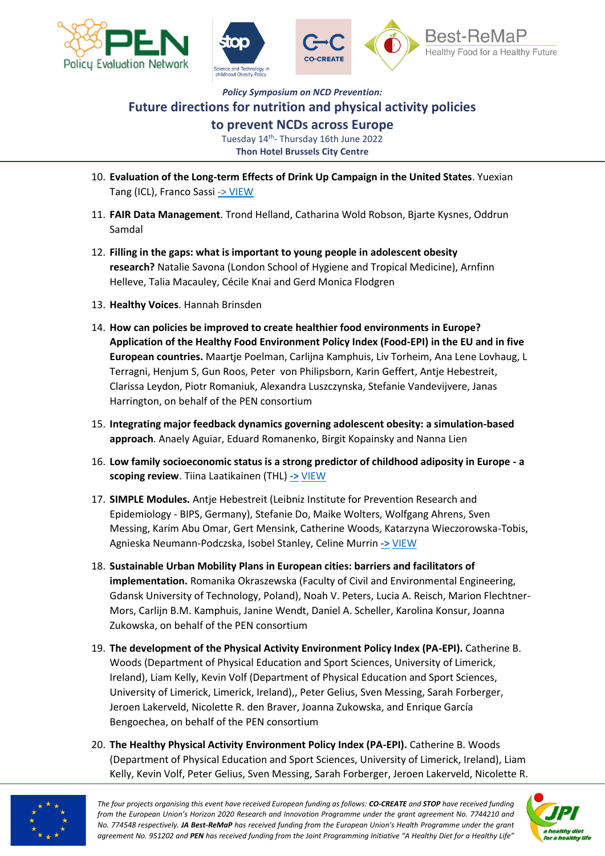



## *Policy Symposium on NCD Prevention:* **Future directions for nutrition and physical activity policies**

**to prevent NCDs across Europe**

Tuesday 14<sup>th</sup>- Thursday 16th June 2022 **Thon Hotel Brussels City Centre**

- 10. **Evaluation of the Long-term Effects of Drink Up Campaign in the United States**. Yuexian Tang (ICL), Franco Sassi [-> VIEW](https://www.jpi-pen.eu/images/reports/Tang_USA_DrinkUpCampaign.pdf)
- 11. **FAIR Data Management**. Trond Helland, Catharina Wold Robson, Bjarte Kysnes, Oddrun Samdal
- 12. **Filling in the gaps: what is important to young people in adolescent obesity research?** Natalie Savona (London School of Hygiene and Tropical Medicine), Arnfinn Helleve, Talia Macauley, Cécile Knai and Gerd Monica Flodgren
- 13. **Healthy Voices**. Hannah Brinsden
- 14. **How can policies be improved to create healthier food environments in Europe? Application of the Healthy Food Environment Policy Index (Food-EPI) in the EU and in five European countries.** Maartje Poelman, Carlijna Kamphuis, Liv Torheim, Ana Lene Lovhaug, L Terragni, Henjum S, Gun Roos, Peter von Philipsborn, Karin Geffert, Antje Hebestreit, Clarissa Leydon, Piotr Romaniuk, Alexandra Luszczynska, Stefanie Vandevijvere, Janas Harrington, on behalf of the PEN consortium
- 15. **Integrating major feedback dynamics governing adolescent obesity: a simulation-based approach**. Anaely Aguiar, Eduard Romanenko, Birgit Kopainsky and Nanna Lien
- 16. **Low family socioeconomic status is a strong predictor of childhood adiposity in Europe - a scoping review**. Tiina Laatikainen (THL) **[->](https://www.jpi-pen.eu/images/reports/Zolfaghari_PEN_EU_scheme.pdf)** [VIEW](https://www.jpi-pen.eu/images/reports/Sares-Jaske_STOP_Review_Family_SES.pdf)
- 17. **SIMPLE Modules.** Antje Hebestreit (Leibniz Institute for Prevention Research and Epidemiology - BIPS, Germany), Stefanie Do, Maike Wolters, Wolfgang Ahrens, Sven Messing, Karim Abu Omar, Gert Mensink, Catherine Woods, Katarzyna Wieczorowska-Tobis, Agnieska Neumann-Podczska, Isobel Stanley, Celine Murrin **[->](https://www.jpi-pen.eu/images/reports/Zolfaghari_PEN_EU_scheme.pdf)** [VIEW](https://www.jpi-pen.eu/images/reports/Hebestreit_PEN_Factsheet_SIMPLE_modules.pdf)
- 18. **Sustainable Urban Mobility Plans in European cities: barriers and facilitators of implementation.** Romanika Okraszewska (Faculty of Civil and Environmental Engineering, Gdansk University of Technology, Poland), Noah V. Peters, Lucia A. Reisch, Marion Flechtner-Mors, Carlijn B.M. Kamphuis, Janine Wendt, Daniel A. Scheller, Karolina Konsur, Joanna Zukowska, on behalf of the PEN consortium
- 19. **The development of the Physical Activity Environment Policy Index (PA-EPI).** Catherine B. Woods (Department of Physical Education and Sport Sciences, University of Limerick, Ireland), Liam Kelly, Kevin Volf (Department of Physical Education and Sport Sciences, University of Limerick, Limerick, Ireland),, Peter Gelius, Sven Messing, Sarah Forberger, Jeroen Lakerveld, Nicolette R. den Braver, Joanna Zukowska, and Enrique García Bengoechea, on behalf of the PEN consortium
- 20. **The Healthy Physical Activity Environment Policy Index (PA-EPI).** Catherine B. Woods (Department of Physical Education and Sport Sciences, University of Limerick, Ireland), Liam Kelly, Kevin Volf, Peter Gelius, Sven Messing, Sarah Forberger, Jeroen Lakerveld, Nicolette R.



*The four projects organising this event have received European funding as follows: CO-CREATE and STOP have received funding from the European Union's Horizon 2020 Research and Innovation Programme under the grant agreement No. 7744210 and No. 774548 respectively. JA Best-ReMaP has received funding from the European Union's Health Programme under the grant agreement No. 951202 and PEN has received funding from the Joint Programming Initiative "A Healthy Diet for a Healthy Life"*